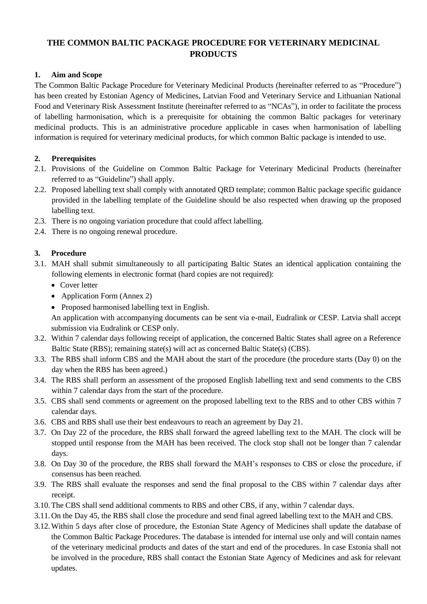# **THE COMMON BALTIC PACKAGE PROCEDURE FOR VETERINARY MEDICINAL PRODUCTS**

## **1. Aim and Scope**

The Common Baltic Package Procedure for Veterinary Medicinal Products (hereinafter referred to as "Procedure") has been created by Estonian Agency of Medicines, Latvian Food and Veterinary Service and Lithuanian National Food and Veterinary Risk Assessment Institute (hereinafter referred to as "NCAs"), in order to facilitate the process of labelling harmonisation, which is a prerequisite for obtaining the common Baltic packages for veterinary medicinal products. This is an administrative procedure applicable in cases when harmonisation of labelling information is required for veterinary medicinal products, for which common Baltic package is intended to use.

### **2. Prerequisites**

- 2.1. Provisions of the Guideline on Common Baltic Package for Veterinary Medicinal Products (hereinafter referred to as "Guideline") shall apply.
- 2.2. Proposed labelling text shall comply with annotated QRD template; common Baltic package specific guidance provided in the labelling template of the Guideline should be also respected when drawing up the proposed labelling text.
- 2.3. There is no ongoing variation procedure that could affect labelling.
- 2.4. There is no ongoing renewal procedure.

### **3. Procedure**

- 3.1. MAH shall submit simultaneously to all participating Baltic States an identical application containing the following elements in electronic format (hard copies are not required):
	- Cover letter
	- Application Form (Annex 2)
	- Proposed harmonised labelling text in English.

An application with accompanying documents can be sent via e-mail, Eudralink or CESP. Latvia shall accept submission via Eudralink or CESP only.

- 3.2. Within 7 calendar days following receipt of application, the concerned Baltic States shall agree on a Reference Baltic State (RBS); remaining state(s) will act as concerned Baltic State(s) (CBS).
- 3.3. The RBS shall inform CBS and the MAH about the start of the procedure (the procedure starts (Day 0) on the day when the RBS has been agreed.)
- 3.4. The RBS shall perform an assessment of the proposed English labelling text and send comments to the CBS within 7 calendar days from the start of the procedure.
- 3.5. CBS shall send comments or agreement on the proposed labelling text to the RBS and to other CBS within 7 calendar days.
- 3.6. CBS and RBS shall use their best endeavours to reach an agreement by Day 21.
- 3.7. On Day 22 of the procedure, the RBS shall forward the agreed labelling text to the MAH. The clock will be stopped until response from the MAH has been received. The clock stop shall not be longer than 7 calendar days.
- 3.8. On Day 30 of the procedure, the RBS shall forward the MAH's responses to CBS or close the procedure, if consensus has been reached.
- 3.9. The RBS shall evaluate the responses and send the final proposal to the CBS within 7 calendar days after receipt.
- 3.10.The CBS shall send additional comments to RBS and other CBS, if any, within 7 calendar days.
- 3.11.On the Day 45, the RBS shall close the procedure and send final agreed labelling text to the MAH and CBS.
- 3.12.Within 5 days after close of procedure, the Estonian State Agency of Medicines shall update the database of the Common Baltic Package Procedures. The database is intended for internal use only and will contain names of the veterinary medicinal products and dates of the start and end of the procedures. In case Estonia shall not be involved in the procedure, RBS shall contact the Estonian State Agency of Medicines and ask for relevant updates.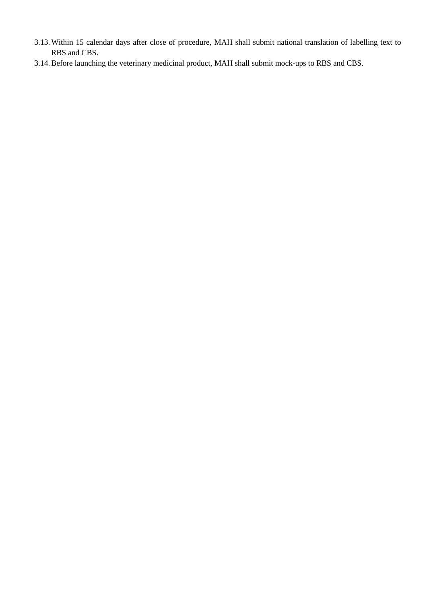- 3.13.Within 15 calendar days after close of procedure, MAH shall submit national translation of labelling text to RBS and CBS.
- 3.14.Before launching the veterinary medicinal product, MAH shall submit mock-ups to RBS and CBS.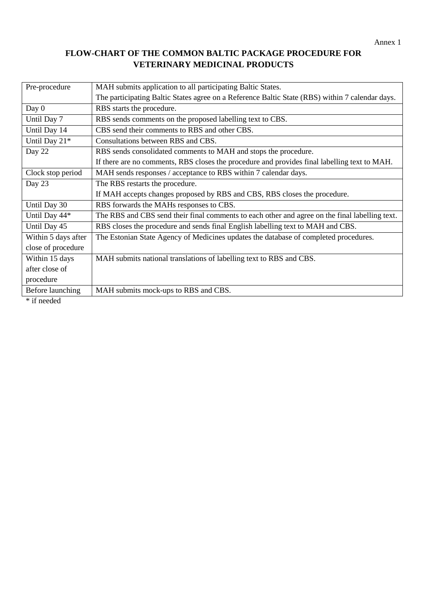# **FLOW-CHART OF THE COMMON BALTIC PACKAGE PROCEDURE FOR VETERINARY MEDICINAL PRODUCTS**

| Pre-procedure       | MAH submits application to all participating Baltic States.                                     |  |
|---------------------|-------------------------------------------------------------------------------------------------|--|
|                     | The participating Baltic States agree on a Reference Baltic State (RBS) within 7 calendar days. |  |
| Day $0$             | RBS starts the procedure.                                                                       |  |
| Until Day 7         | RBS sends comments on the proposed labelling text to CBS.                                       |  |
| Until Day 14        | CBS send their comments to RBS and other CBS.                                                   |  |
| Until Day 21*       | Consultations between RBS and CBS.                                                              |  |
| Day 22              | RBS sends consolidated comments to MAH and stops the procedure.                                 |  |
|                     | If there are no comments, RBS closes the procedure and provides final labelling text to MAH.    |  |
| Clock stop period   | MAH sends responses / acceptance to RBS within 7 calendar days.                                 |  |
| Day 23              | The RBS restarts the procedure.                                                                 |  |
|                     | If MAH accepts changes proposed by RBS and CBS, RBS closes the procedure.                       |  |
| Until Day 30        | RBS forwards the MAHs responses to CBS.                                                         |  |
| Until Day 44*       | The RBS and CBS send their final comments to each other and agree on the final labelling text.  |  |
| Until Day 45        | RBS closes the procedure and sends final English labelling text to MAH and CBS.                 |  |
| Within 5 days after | The Estonian State Agency of Medicines updates the database of completed procedures.            |  |
| close of procedure  |                                                                                                 |  |
| Within 15 days      | MAH submits national translations of labelling text to RBS and CBS.                             |  |
| after close of      |                                                                                                 |  |
| procedure           |                                                                                                 |  |
| Before launching    | MAH submits mock-ups to RBS and CBS.                                                            |  |
| $*$ if needed       |                                                                                                 |  |

if needed